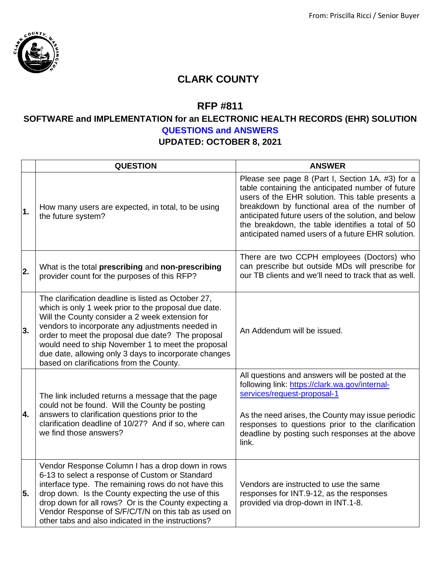

## **CLARK COUNTY**

## **RFP #811**

## **SOFTWARE and IMPLEMENTATION for an ELECTRONIC HEALTH RECORDS (EHR) SOLUTION QUESTIONS and ANSWERS**

## **UPDATED: OCTOBER 8, 2021**

|                  | <b>QUESTION</b>                                                                                                                                                                                                                                                                                                                                                                                                                    | <b>ANSWER</b>                                                                                                                                                                                                                                                                                                                                                               |
|------------------|------------------------------------------------------------------------------------------------------------------------------------------------------------------------------------------------------------------------------------------------------------------------------------------------------------------------------------------------------------------------------------------------------------------------------------|-----------------------------------------------------------------------------------------------------------------------------------------------------------------------------------------------------------------------------------------------------------------------------------------------------------------------------------------------------------------------------|
| $\mathbf 1$ .    | How many users are expected, in total, to be using<br>the future system?                                                                                                                                                                                                                                                                                                                                                           | Please see page 8 (Part I, Section 1A, #3) for a<br>table containing the anticipated number of future<br>users of the EHR solution. This table presents a<br>breakdown by functional area of the number of<br>anticipated future users of the solution, and below<br>the breakdown, the table identifies a total of 50<br>anticipated named users of a future EHR solution. |
| $\overline{2}$ . | What is the total prescribing and non-prescribing<br>provider count for the purposes of this RFP?                                                                                                                                                                                                                                                                                                                                  | There are two CCPH employees (Doctors) who<br>can prescribe but outside MDs will prescribe for<br>our TB clients and we'll need to track that as well.                                                                                                                                                                                                                      |
| 3.               | The clarification deadline is listed as October 27,<br>which is only 1 week prior to the proposal due date.<br>Will the County consider a 2 week extension for<br>vendors to incorporate any adjustments needed in<br>order to meet the proposal due date? The proposal<br>would need to ship November 1 to meet the proposal<br>due date, allowing only 3 days to incorporate changes<br>based on clarifications from the County. | An Addendum will be issued.                                                                                                                                                                                                                                                                                                                                                 |
| 4.               | The link included returns a message that the page<br>could not be found. Will the County be posting<br>answers to clarification questions prior to the<br>clarification deadline of 10/27? And if so, where can<br>we find those answers?                                                                                                                                                                                          | All questions and answers will be posted at the<br>following link: https://clark.wa.gov/internal-<br>services/request-proposal-1<br>As the need arises, the County may issue periodic<br>responses to questions prior to the clarification<br>deadline by posting such responses at the above<br>link.                                                                      |
| 5.               | Vendor Response Column I has a drop down in rows<br>6-13 to select a response of Custom or Standard<br>interface type. The remaining rows do not have this<br>drop down. Is the County expecting the use of this<br>drop down for all rows? Or is the County expecting a<br>Vendor Response of S/F/C/T/N on this tab as used on<br>other tabs and also indicated in the instructions?                                              | Vendors are instructed to use the same<br>responses for INT.9-12, as the responses<br>provided via drop-down in INT.1-8.                                                                                                                                                                                                                                                    |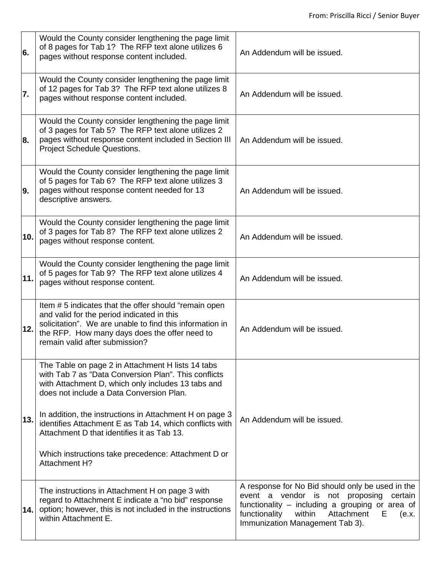| 6.  | Would the County consider lengthening the page limit<br>of 8 pages for Tab 1? The RFP text alone utilizes 6<br>pages without response content included.                                                                                                                                                                                                                                                                                                        | An Addendum will be issued.                                                                                                                                                                                                                  |
|-----|----------------------------------------------------------------------------------------------------------------------------------------------------------------------------------------------------------------------------------------------------------------------------------------------------------------------------------------------------------------------------------------------------------------------------------------------------------------|----------------------------------------------------------------------------------------------------------------------------------------------------------------------------------------------------------------------------------------------|
| 7.  | Would the County consider lengthening the page limit<br>of 12 pages for Tab 3? The RFP text alone utilizes 8<br>pages without response content included.                                                                                                                                                                                                                                                                                                       | An Addendum will be issued.                                                                                                                                                                                                                  |
| 8.  | Would the County consider lengthening the page limit<br>of 3 pages for Tab 5? The RFP text alone utilizes 2<br>pages without response content included in Section III<br>Project Schedule Questions.                                                                                                                                                                                                                                                           | An Addendum will be issued.                                                                                                                                                                                                                  |
| 9.  | Would the County consider lengthening the page limit<br>of 5 pages for Tab 6? The RFP text alone utilizes 3<br>pages without response content needed for 13<br>descriptive answers.                                                                                                                                                                                                                                                                            | An Addendum will be issued.                                                                                                                                                                                                                  |
| 10. | Would the County consider lengthening the page limit<br>of 3 pages for Tab 8? The RFP text alone utilizes 2<br>pages without response content.                                                                                                                                                                                                                                                                                                                 | An Addendum will be issued.                                                                                                                                                                                                                  |
| 11. | Would the County consider lengthening the page limit<br>of 5 pages for Tab 9? The RFP text alone utilizes 4<br>pages without response content.                                                                                                                                                                                                                                                                                                                 | An Addendum will be issued.                                                                                                                                                                                                                  |
| 12. | Item # 5 indicates that the offer should "remain open<br>and valid for the period indicated in this<br>solicitation". We are unable to find this information in<br>the RFP. How many days does the offer need to<br>remain valid after submission?                                                                                                                                                                                                             | An Addendum will be issued.                                                                                                                                                                                                                  |
| 13. | The Table on page 2 in Attachment H lists 14 tabs<br>with Tab 7 as "Data Conversion Plan". This conflicts<br>with Attachment D, which only includes 13 tabs and<br>does not include a Data Conversion Plan.<br>In addition, the instructions in Attachment H on page 3<br>identifies Attachment E as Tab 14, which conflicts with<br>Attachment D that identifies it as Tab 13.<br>Which instructions take precedence: Attachment D or<br><b>Attachment H?</b> | An Addendum will be issued.                                                                                                                                                                                                                  |
| 14. | The instructions in Attachment H on page 3 with<br>regard to Attachment E indicate a "no bid" response<br>option; however, this is not included in the instructions<br>within Attachment E.                                                                                                                                                                                                                                                                    | A response for No Bid should only be used in the<br>event a vendor is not proposing<br>certain<br>functionality – including a grouping or area of<br>Attachment<br>functionality<br>within<br>(e.x.<br>E.<br>Immunization Management Tab 3). |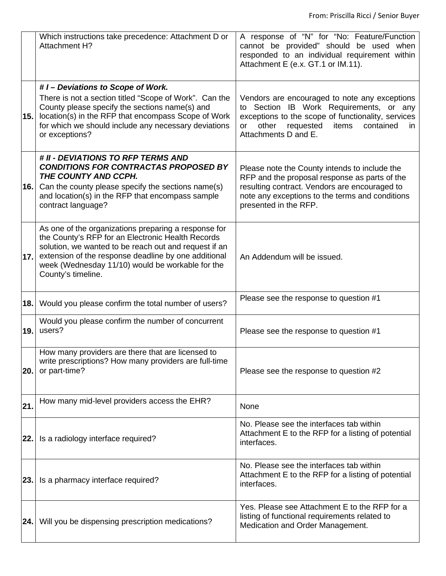|      | Which instructions take precedence: Attachment D or<br>Attachment H?                                                                                                                                                                                                                                 | A response of "N" for "No: Feature/Function<br>cannot be provided" should be used when<br>responded to an individual requirement within<br>Attachment E (e.x. GT.1 or IM.11).                                                   |
|------|------------------------------------------------------------------------------------------------------------------------------------------------------------------------------------------------------------------------------------------------------------------------------------------------------|---------------------------------------------------------------------------------------------------------------------------------------------------------------------------------------------------------------------------------|
| 15.  | #1-Deviations to Scope of Work.<br>There is not a section titled "Scope of Work". Can the<br>County please specify the sections name(s) and<br>location(s) in the RFP that encompass Scope of Work<br>for which we should include any necessary deviations<br>or exceptions?                         | Vendors are encouraged to note any exceptions<br>to Section IB Work Requirements, or any<br>exceptions to the scope of functionality, services<br>other<br>requested<br>items<br>contained<br>or<br>in.<br>Attachments D and E. |
| 16.1 | # II - DEVIATIONS TO RFP TERMS AND<br><b>CONDITIONS FOR CONTRACTAS PROPOSED BY</b><br>THE COUNTY AND CCPH.<br>Can the county please specify the sections name(s)<br>and location(s) in the RFP that encompass sample<br>contract language?                                                           | Please note the County intends to include the<br>RFP and the proposal response as parts of the<br>resulting contract. Vendors are encouraged to<br>note any exceptions to the terms and conditions<br>presented in the RFP.     |
| 17.  | As one of the organizations preparing a response for<br>the County's RFP for an Electronic Health Records<br>solution, we wanted to be reach out and request if an<br>extension of the response deadline by one additional<br>week (Wednesday 11/10) would be workable for the<br>County's timeline. | An Addendum will be issued.                                                                                                                                                                                                     |
| 18.1 | Would you please confirm the total number of users?                                                                                                                                                                                                                                                  | Please see the response to question #1                                                                                                                                                                                          |
| 19.1 | Would you please confirm the number of concurrent<br>users?                                                                                                                                                                                                                                          | Please see the response to question #1                                                                                                                                                                                          |
| 20.  | How many providers are there that are licensed to<br>write prescriptions? How many providers are full-time<br>or part-time?                                                                                                                                                                          | Please see the response to question #2                                                                                                                                                                                          |
| 21.  | How many mid-level providers access the EHR?                                                                                                                                                                                                                                                         | None                                                                                                                                                                                                                            |
| 22.1 | Is a radiology interface required?                                                                                                                                                                                                                                                                   | No. Please see the interfaces tab within<br>Attachment E to the RFP for a listing of potential<br>interfaces.                                                                                                                   |
| 23.  | Is a pharmacy interface required?                                                                                                                                                                                                                                                                    | No. Please see the interfaces tab within<br>Attachment E to the RFP for a listing of potential<br>interfaces.                                                                                                                   |
|      | <b>24.</b> Will you be dispensing prescription medications?                                                                                                                                                                                                                                          | Yes. Please see Attachment E to the RFP for a<br>listing of functional requirements related to<br>Medication and Order Management.                                                                                              |